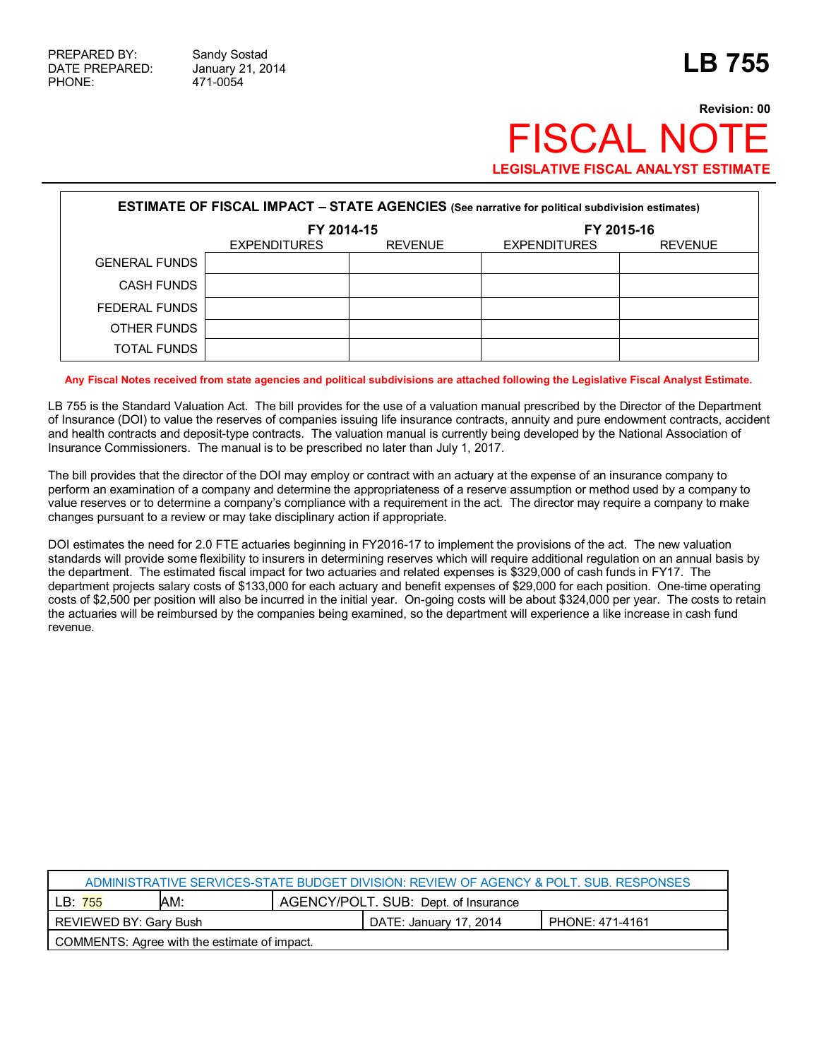## **Revision: 00 FISCAL NO LEGISLATIVE FISCAL ANALYST ESTIMATE**

| <b>ESTIMATE OF FISCAL IMPACT - STATE AGENCIES</b> (See narrative for political subdivision estimates) |                     |                |                     |                |  |
|-------------------------------------------------------------------------------------------------------|---------------------|----------------|---------------------|----------------|--|
|                                                                                                       | FY 2014-15          |                | FY 2015-16          |                |  |
|                                                                                                       | <b>EXPENDITURES</b> | <b>REVENUE</b> | <b>EXPENDITURES</b> | <b>REVENUE</b> |  |
| <b>GENERAL FUNDS</b>                                                                                  |                     |                |                     |                |  |
| <b>CASH FUNDS</b>                                                                                     |                     |                |                     |                |  |
| FEDERAL FUNDS                                                                                         |                     |                |                     |                |  |
| OTHER FUNDS                                                                                           |                     |                |                     |                |  |
| <b>TOTAL FUNDS</b>                                                                                    |                     |                |                     |                |  |

**Any Fiscal Notes received from state agencies and political subdivisions are attached following the Legislative Fiscal Analyst Estimate.**

LB 755 is the Standard Valuation Act. The bill provides for the use of a valuation manual prescribed by the Director of the Department of Insurance (DOI) to value the reserves of companies issuing life insurance contracts, annuity and pure endowment contracts, accident and health contracts and deposit-type contracts. The valuation manual is currently being developed by the National Association of Insurance Commissioners. The manual is to be prescribed no later than July 1, 2017.

The bill provides that the director of the DOI may employ or contract with an actuary at the expense of an insurance company to perform an examination of a company and determine the appropriateness of a reserve assumption or method used by a company to value reserves or to determine a company's compliance with a requirement in the act. The director may require a company to make changes pursuant to a review or may take disciplinary action if appropriate.

DOI estimates the need for 2.0 FTE actuaries beginning in FY2016-17 to implement the provisions of the act. The new valuation standards will provide some flexibility to insurers in determining reserves which will require additional regulation on an annual basis by the department. The estimated fiscal impact for two actuaries and related expenses is \$329,000 of cash funds in FY17. The department projects salary costs of \$133,000 for each actuary and benefit expenses of \$29,000 for each position. One-time operating costs of \$2,500 per position will also be incurred in the initial year. On-going costs will be about \$324,000 per year. The costs to retain the actuaries will be reimbursed by the companies being examined, so the department will experience a like increase in cash fund revenue.

| ADMINISTRATIVE SERVICES-STATE BUDGET DIVISION: REVIEW OF AGENCY & POLT. SUB. RESPONSES |     |                                      |                 |  |  |
|----------------------------------------------------------------------------------------|-----|--------------------------------------|-----------------|--|--|
| LB: 755                                                                                | AM: | AGENCY/POLT. SUB: Dept. of Insurance |                 |  |  |
| REVIEWED BY: Gary Bush                                                                 |     | DATE: January 17, 2014               | PHONE: 471-4161 |  |  |
| COMMENTS: Agree with the estimate of impact.                                           |     |                                      |                 |  |  |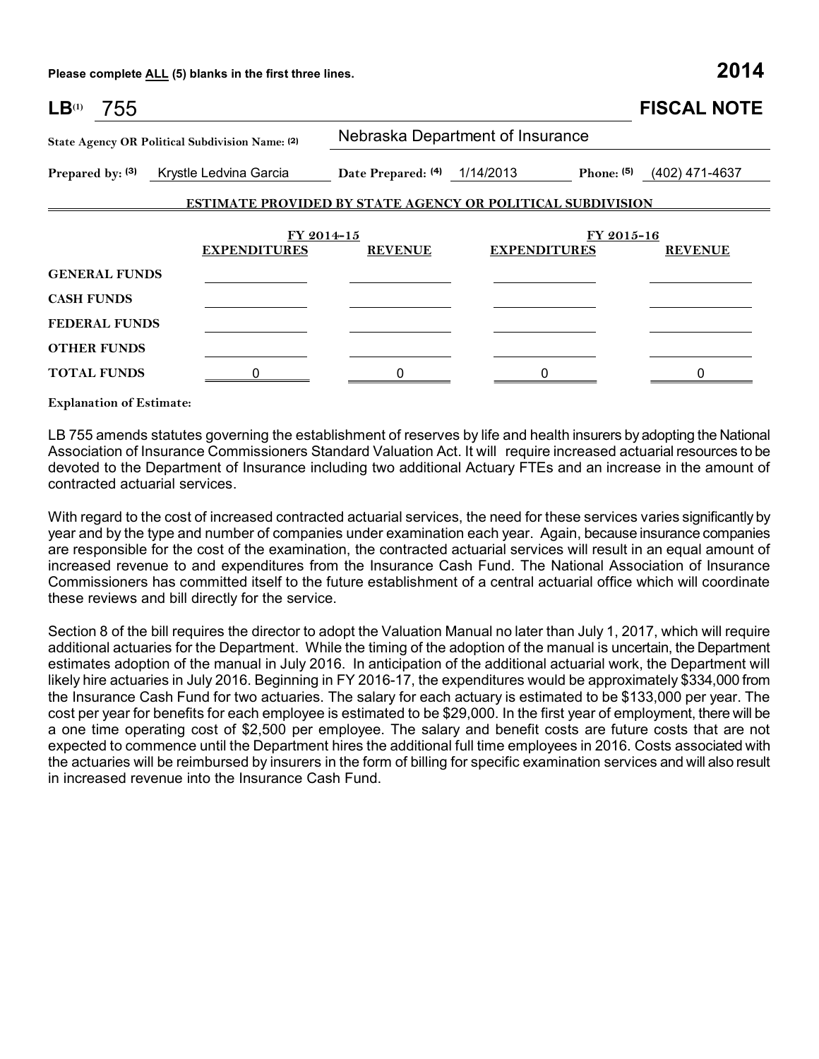**Please complete ALL (5) blanks in the first three lines. 2014**

| LB <sup>(1)</sup><br>755                        |                                         |                                  |                                                                   | <b>FISCAL NOTE</b> |  |  |
|-------------------------------------------------|-----------------------------------------|----------------------------------|-------------------------------------------------------------------|--------------------|--|--|
| State Agency OR Political Subdivision Name: (2) |                                         | Nebraska Department of Insurance |                                                                   |                    |  |  |
|                                                 | Prepared by: (3) Krystle Ledvina Garcia | Date Prepared: (4) 1/14/2013     | Phone: (5)                                                        | (402) 471-4637     |  |  |
|                                                 |                                         |                                  | <b>ESTIMATE PROVIDED BY STATE AGENCY OR POLITICAL SUBDIVISION</b> |                    |  |  |
|                                                 |                                         | FY 2014-15                       |                                                                   | FY 2015-16         |  |  |
|                                                 | <b>EXPENDITURES</b>                     | <b>REVENUE</b>                   | <b>EXPENDITURES</b>                                               | <b>REVENUE</b>     |  |  |
| <b>GENERAL FUNDS</b>                            |                                         |                                  |                                                                   |                    |  |  |
| <b>CASH FUNDS</b>                               |                                         |                                  |                                                                   |                    |  |  |
| <b>FEDERAL FUNDS</b>                            |                                         |                                  |                                                                   |                    |  |  |
| <b>OTHER FUNDS</b>                              |                                         |                                  |                                                                   |                    |  |  |
| <b>TOTAL FUNDS</b>                              | 0                                       | 0                                | 0                                                                 | 0                  |  |  |

**Explanation of Estimate:**

LB 755 amends statutes governing the establishment of reserves by life and health insurers by adopting the National Association of Insurance Commissioners Standard Valuation Act. It will require increased actuarial resources to be devoted to the Department of Insurance including two additional Actuary FTEs and an increase in the amount of contracted actuarial services.

With regard to the cost of increased contracted actuarial services, the need for these services varies significantly by year and by the type and number of companies under examination each year. Again, because insurance companies are responsible for the cost of the examination, the contracted actuarial services will result in an equal amount of increased revenue to and expenditures from the Insurance Cash Fund. The National Association of Insurance Commissioners has committed itself to the future establishment of a central actuarial office which will coordinate these reviews and bill directly for the service.

Section 8 of the bill requires the director to adopt the Valuation Manual no later than July 1, 2017, which will require additional actuaries for the Department. While the timing of the adoption of the manual is uncertain, the Department estimates adoption of the manual in July 2016. In anticipation of the additional actuarial work, the Department will likely hire actuaries in July 2016. Beginning in FY 2016-17, the expenditures would be approximately \$334,000 from the Insurance Cash Fund for two actuaries. The salary for each actuary is estimated to be \$133,000 per year. The cost per year for benefits for each employee is estimated to be \$29,000. In the first year of employment, there will be a one time operating cost of \$2,500 per employee. The salary and benefit costs are future costs that are not expected to commence until the Department hires the additional full time employees in 2016. Costs associated with the actuaries will be reimbursed by insurers in the form of billing for specific examination services and will also result in increased revenue into the Insurance Cash Fund.